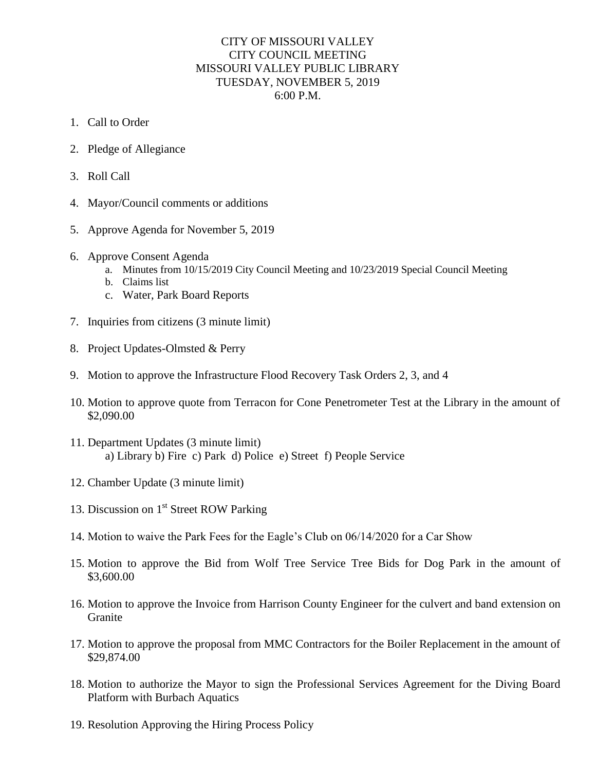## CITY OF MISSOURI VALLEY CITY COUNCIL MEETING MISSOURI VALLEY PUBLIC LIBRARY TUESDAY, NOVEMBER 5, 2019 6:00 P.M.

- 1. Call to Order
- 2. Pledge of Allegiance
- 3. Roll Call
- 4. Mayor/Council comments or additions
- 5. Approve Agenda for November 5, 2019
- 6. Approve Consent Agenda
	- a. Minutes from 10/15/2019 City Council Meeting and 10/23/2019 Special Council Meeting
	- b. Claims list
	- c. Water, Park Board Reports
- 7. Inquiries from citizens (3 minute limit)
- 8. Project Updates-Olmsted & Perry
- 9. Motion to approve the Infrastructure Flood Recovery Task Orders 2, 3, and 4
- 10. Motion to approve quote from Terracon for Cone Penetrometer Test at the Library in the amount of \$2,090.00
- 11. Department Updates (3 minute limit) a) Library b) Fire c) Park d) Police e) Street f) People Service
- 12. Chamber Update (3 minute limit)
- 13. Discussion on 1<sup>st</sup> Street ROW Parking
- 14. Motion to waive the Park Fees for the Eagle's Club on 06/14/2020 for a Car Show
- 15. Motion to approve the Bid from Wolf Tree Service Tree Bids for Dog Park in the amount of \$3,600.00
- 16. Motion to approve the Invoice from Harrison County Engineer for the culvert and band extension on Granite
- 17. Motion to approve the proposal from MMC Contractors for the Boiler Replacement in the amount of \$29,874.00
- 18. Motion to authorize the Mayor to sign the Professional Services Agreement for the Diving Board Platform with Burbach Aquatics
- 19. Resolution Approving the Hiring Process Policy